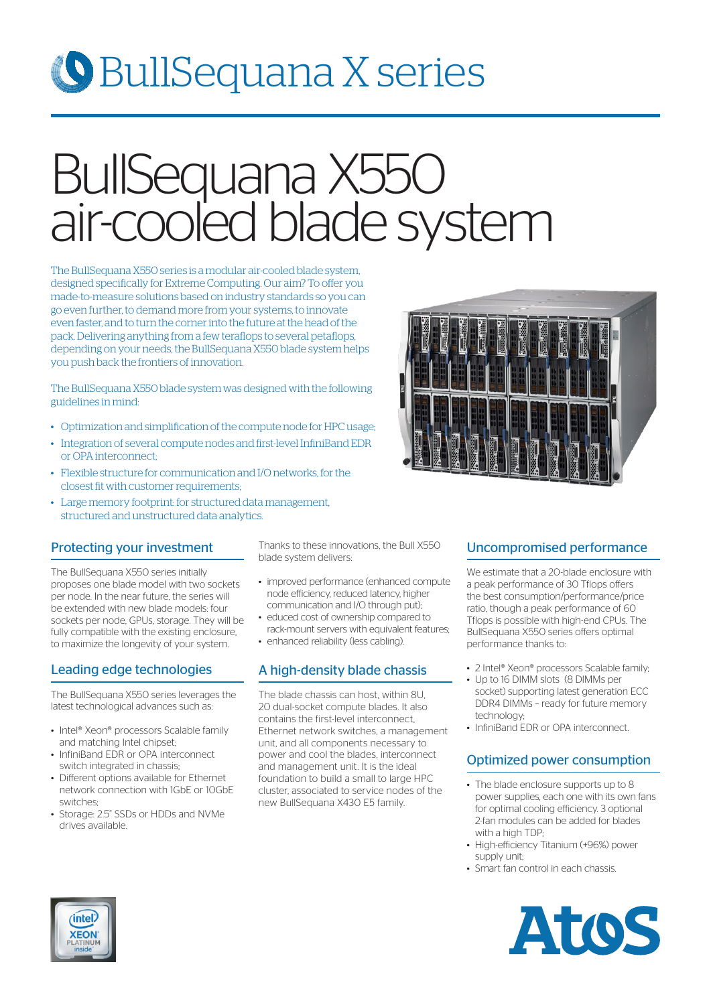## BullSequana X series

# BullSequana X550 air-cooled blade system

The BullSequana X550 series is a modular air-cooled blade system, designed specifically for Extreme Computing. Our aim? To offer you made-to-measure solutions based on industry standards so you can go even further, to demand more from your systems, to innovate even faster, and to turn the corner into the future at the head of the pack. Delivering anything from a few teraflops to several petaflops, depending on your needs, the BullSequana X550 blade system helps you push back the frontiers of innovation.

The BullSequana X550 blade system was designed with the following guidelines in mind:

- Optimization and simplification of the compute node for HPC usage;
- Integration of several compute nodes and first-level InfiniBand EDR or OPA interconnect;
- Flexible structure for communication and I/O networks, for the closest fit with customer requirements;
- Large memory footprint: for structured data management, structured and unstructured data analytics.

#### Protecting your investment

The BullSequana X550 series initially proposes one blade model with two sockets per node. In the near future, the series will be extended with new blade models: four sockets per node, GPUs, storage. They will be fully compatible with the existing enclosure, to maximize the longevity of your system.

#### Leading edge technologies

The BullSequana X550 series leverages the latest technological advances such as:

- Intel® Xeon® processors Scalable family and matching Intel chipset-
- InfiniBand EDR or OPA interconnect switch integrated in chassis;
- Different options available for Ethernet network connection with 1GbE or 10GbE switches;
- Storage: 2.5" SSDs or HDDs and NVMe drives available.

Thanks to these innovations, the Bull X550 blade system delivers:

- improved performance (enhanced compute node efficiency, reduced latency, higher communication and I/O through put);
- educed cost of ownership compared to rack-mount servers with equivalent features; • enhanced reliability (less cabling).
- 

#### A high-density blade chassis

The blade chassis can host, within 8U, 20 dual-socket compute blades. It also contains the first-level interconnect, Ethernet network switches, a management unit, and all components necessary to power and cool the blades, interconnect and management unit. It is the ideal foundation to build a small to large HPC cluster, associated to service nodes of the new BullSequana X430 E5 family.

#### Uncompromised performance

We estimate that a 20-blade enclosure with a peak performance of 30 Tflops offers the best consumption/performance/price ratio, though a peak performance of 60 Tflops is possible with high-end CPUs. The BullSequana X550 series offers optimal performance thanks to:

- 2 Intel® Xeon® processors Scalable family;
- Up to 16 DIMM slots (8 DIMMs per socket) supporting latest generation ECC DDR4 DIMMs – ready for future memory technology;
- InfiniBand FDR or OPA interconnect.

#### Optimized power consumption

- The blade enclosure supports up to 8 power supplies, each one with its own fans for optimal cooling efficiency. 3 optional 2-fan modules can be added for blades with a high TDP;
- High-efficiency Titanium (+96%) power supply unit;
- Smart fan control in each chassis.